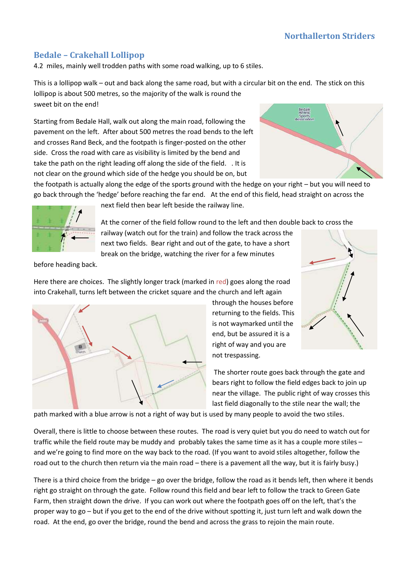## **Bedale – Crakehall Lollipop**

4.2 miles, mainly well trodden paths with some road walking, up to 6 stiles.

This is a lollipop walk – out and back along the same road, but with a circular bit on the end. The stick on this lollipop is about 500 metres, so the majority of the walk is round the sweet bit on the end!

Starting from Bedale Hall, walk out along the main road, following the pavement on the left. After about 500 metres the road bends to the left and crosses Rand Beck, and the footpath is finger-posted on the other side. Cross the road with care as visibility is limited by the bend and take the path on the right leading off along the side of the field. . It is not clear on the ground which side of the hedge you should be on, but



the footpath is actually along the edge of the sports ground with the hedge on your right – but you will need to go back through the 'hedge' before reaching the far end. At the end of this field, head straight on across the



next field then bear left beside the railway line.

At the corner of the field follow round to the left and then double back to cross the

railway (watch out for the train) and follow the track across the next two fields. Bear right and out of the gate, to have a short break on the bridge, watching the river for a few minutes

before heading back.

Here there are choices. The slightly longer track (marked in red) goes along the road into Crakehall, turns left between the cricket square and the church and left again



through the houses before returning to the fields. This is not waymarked until the end, but be assured it is a right of way and you are not trespassing.

The shorter route goes back through the gate and bears right to follow the field edges back to join up near the village. The public right of way crosses this last field diagonally to the stile near the wall; the

path marked with a blue arrow is not a right of way but is used by many people to avoid the two stiles.

Overall, there is little to choose between these routes. The road is very quiet but you do need to watch out for traffic while the field route may be muddy and probably takes the same time as it has a couple more stiles – and we're going to find more on the way back to the road. (If you want to avoid stiles altogether, follow the road out to the church then return via the main road – there is a pavement all the way, but it is fairly busy.)

There is a third choice from the bridge – go over the bridge, follow the road as it bends left, then where it bends right go straight on through the gate. Follow round this field and bear left to follow the track to Green Gate Farm, then straight down the drive. If you can work out where the footpath goes off on the left, that's the proper way to go – but if you get to the end of the drive without spotting it, just turn left and walk down the road. At the end, go over the bridge, round the bend and across the grass to rejoin the main route.